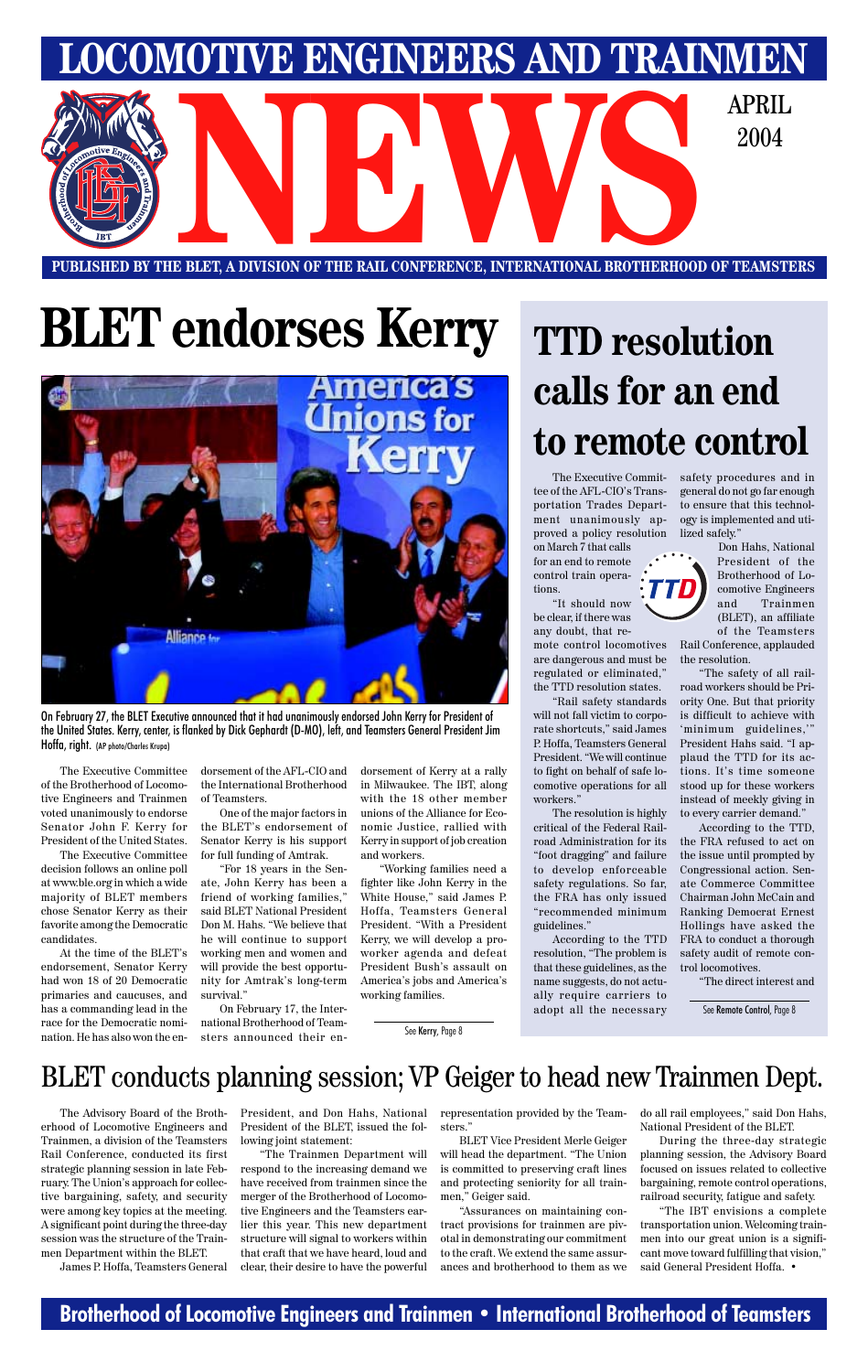### **Brotherhood of Locomotive Engineers and Trainmen • International Brotherhood of Teamsters**

**PUBLISHED BY THE BLET, A DIVISION OF THE RAIL CONFERENCE, INTERNATIONAL BROTHERHOOD OF TEAMSTERS** E BLET, A DIVISION OF THE RAIL CONFERENCE, INTERNATIONAL BROTHERHOOD OF TEAMSTI

# **TTD resolution calls for an end to remote control**

**LOCOMOTIVE ENGINEERS AND TRAINMEN**

2004

# **BLET endorses Kerry**



On February 27, the BLET Executive announced that it had unanimously endorsed John Kerry for President of the United States. Kerry, center, is flanked by Dick Gephardt (D-MO), left, and Teamsters General President Jim Hoffa, right. (AP photo/Charles Krupa)

The Executive Committee of the Brotherhood of Locomotive Engineers and Trainmen voted unanimously to endorse Senator John F. Kerry for President of the United States.

The Executive Committee decision follows an online poll at www.ble.org in which a wide majority of BLET members chose Senator Kerry as their favorite among the Democratic candidates.

At the time of the BLET's endorsement, Senator Kerry had won 18 of 20 Democratic primaries and caucuses, and has a commanding lead in the

dorsement of the AFL-CIO and the International Brotherhood of Teamsters.

One of the major factors in the BLET's endorsement of Senator Kerry is his support for full funding of Amtrak.

race for the Democratic nomi-national Brotherhood of Teamnation. He has also won the en-<br>nation. He has also won the en-<br>sters announced their en-<br>See Kerry, Page 8 On February 17, the Intersters announced their en-

"For 18 years in the Senate, John Kerry has been a friend of working families," said BLET National President Don M. Hahs. "We believe that he will continue to support working men and women and will provide the best opportunity for Amtrak's long-term survival."

dorsement of Kerry at a rally in Milwaukee. The IBT, along with the 18 other member unions of the Alliance for Economic Justice, rallied with Kerry in support of job creation and workers.

"Working families need a fighter like John Kerry in the White House," said James P. Hoffa, Teamsters General President. "With a President Kerry, we will develop a proworker agenda and defeat President Bush's assault on America's jobs and America's working families.

The Executive Committee of the AFL-CIO's Transportation Trades Department unanimously approved a policy resolution

on March 7 that calls for an end to remote control train operations.

"It should now be clear, if there was

any doubt, that remote control locomotives are dangerous and must be regulated or eliminated," the TTD resolution states.

"Rail safety standards will not fall victim to corporate shortcuts," said James P. Hoffa, Teamsters General President. "We will continue to fight on behalf of safe locomotive operations for all workers."

The resolution is highly critical of the Federal Railroad Administration for its "foot dragging" and failure to develop enforceable safety regulations. So far, the FRA has only issued "recommended minimum guidelines."

According to the TTD resolution, "The problem is that these guidelines, as the name suggests, do not actually require carriers to

safety procedures and in general do not go far enough to ensure that this technology is implemented and utilized safely."

Don Hahs, National President of the Brotherhood of Locomotive Engineers and Trainmen (BLET), an affiliate of the Teamsters

Rail Conference, applauded the resolution.

"The safety of all railroad workers should be Priority One. But that priority is difficult to achieve with 'minimum guidelines,'" President Hahs said. "I applaud the TTD for its actions. It's time someone stood up for these workers instead of meekly giving in to every carrier demand."

According to the TTD, the FRA refused to act on the issue until prompted by Congressional action. Senate Commerce Committee Chairman John McCain and Ranking Democrat Ernest Hollings have asked the FRA to conduct a thorough safety audit of remote control locomotives.

"The direct interest and

The Advisory Board of the Brotherhood of Locomotive Engineers and Trainmen, a division of the Teamsters Rail Conference, conducted its first strategic planning session in late February. The Union's approach for collective bargaining, safety, and security were among key topics at the meeting. A significant point during the three-day session was the structure of the Trainmen Department within the BLET. James P. Hoffa, Teamsters General President, and Don Hahs, National President of the BLET, issued the following joint statement:

"The Trainmen Department will respond to the increasing demand we have received from trainmen since the merger of the Brotherhood of Locomotive Engineers and the Teamsters earlier this year. This new department structure will signal to workers within that craft that we have heard, loud and clear, their desire to have the powerful

representation provided by the Teamsters."

BLET Vice President Merle Geiger will head the department. "The Union is committed to preserving craft lines and protecting seniority for all trainmen," Geiger said.

"Assurances on maintaining contract provisions for trainmen are pivotal in demonstrating our commitment to the craft. We extend the same assurances and brotherhood to them as we do all rail employees," said Don Hahs, National President of the BLET.

During the three-day strategic planning session, the Advisory Board focused on issues related to collective bargaining, remote control operations, railroad security, fatigue and safety.

"The IBT envisions a complete transportation union. Welcoming trainmen into our great union is a significant move toward fulfilling that vision," said General President Hoffa. •

### BLET conducts planning session; VP Geiger to head new Trainmen Dept.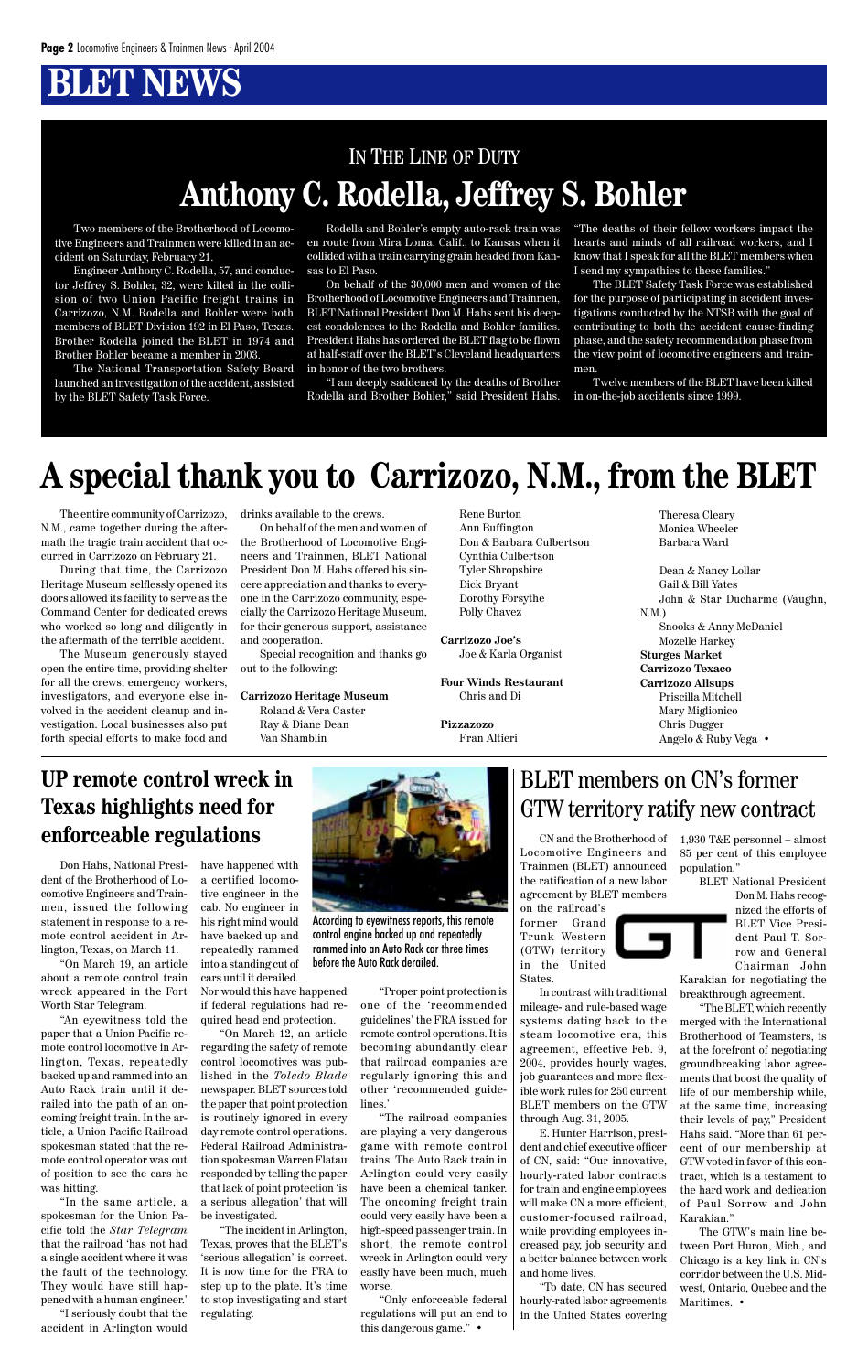Two members of the Brotherhood of Locomotive Engineers and Trainmen were killed in an accident on Saturday, February 21.

Engineer Anthony C. Rodella, 57, and conductor Jeffrey S. Bohler, 32, were killed in the collision of two Union Pacific freight trains in Carrizozo, N.M. Rodella and Bohler were both members of BLET Division 192 in El Paso, Texas. Brother Rodella joined the BLET in 1974 and Brother Bohler became a member in 2003.

The National Transportation Safety Board launched an investigation of the accident, assisted by the BLET Safety Task Force.

Rodella and Bohler's empty auto-rack train was en route from Mira Loma, Calif., to Kansas when it collided with a train carrying grain headed from Kansas to El Paso.

On behalf of the 30,000 men and women of the Brotherhood of Locomotive Engineers and Trainmen, BLET National President Don M. Hahs sent his deepest condolences to the Rodella and Bohler families. President Hahs has ordered the BLET flag to be flown at half-staff over the BLET's Cleveland headquarters in honor of the two brothers.

"I am deeply saddened by the deaths of Brother Rodella and Brother Bohler," said President Hahs. "The deaths of their fellow workers impact the hearts and minds of all railroad workers, and I know that I speak for all the BLET members when I send my sympathies to these families."

The BLET Safety Task Force was established for the purpose of participating in accident investigations conducted by the NTSB with the goal of contributing to both the accident cause-finding phase, and the safety recommendation phase from the view point of locomotive engineers and trainmen.

Twelve members of the BLET have been killed in on-the-job accidents since 1999.

### IN THE LINE OF DUTY **Anthony C. Rodella, Jeffrey S. Bohler**

# **A special thank you to Carrizozo, N.M., from the BLET**

The entire community of Carrizozo, N.M., came together during the aftermath the tragic train accident that occurred in Carrizozo on February 21.

During that time, the Carrizozo Heritage Museum selflessly opened its doors allowed its facility to serve as the Command Center for dedicated crews who worked so long and diligently in the aftermath of the terrible accident.

The Museum generously stayed open the entire time, providing shelter for all the crews, emergency workers, investigators, and everyone else involved in the accident cleanup and investigation. Local businesses also put forth special efforts to make food and drinks available to the crews.

The GTW's main line between Port Huron, Mich., and Chicago is a key link in CN's corridor between the U.S. Midwest, Ontario, Quebec and the Maritimes. •

On behalf of the men and women of the Brotherhood of Locomotive Engineers and Trainmen, BLET National President Don M. Hahs offered his sincere appreciation and thanks to everyone in the Carrizozo community, especially the Carrizozo Heritage Museum, for their generous support, assistance and cooperation.

Special recognition and thanks go out to the following:

**Carrizozo Heritage Museum** Roland & Vera Caster Ray & Diane Dean Van Shamblin

Rene Burton Ann Buffington Don & Barbara Culbertson Cynthia Culbertson Tyler Shropshire Dick Bryant Dorothy Forsythe Polly Chavez

**Carrizozo Joe's** Joe & Karla Organist

**Four Winds Restaurant** Chris and Di

**Pizzazozo** Fran Altieri Theresa Cleary Monica Wheeler Barbara Ward

Dean & Nancy Lollar Gail & Bill Yates John & Star Ducharme (Vaughn, N.M.) Snooks & Anny McDaniel Mozelle Harkey **Sturges Market Carrizozo Texaco Carrizozo Allsups** Priscilla Mitchell Mary Miglionico Chris Dugger Angelo & Ruby Vega •

CN and the Brotherhood of Locomotive Engineers and Trainmen (BLET) announced the ratification of a new labor agreement by BLET members

on the railroad's former Grand Trunk Western (GTW) territory in the United States.

mileage- and rule-based wage systems dating back to the steam locomotive era, this agreement, effective Feb. 9, 2004, provides hourly wages, job guarantees and more flexible work rules for 250 current BLET members on the GTW through Aug. 31, 2005. E. Hunter Harrison, president and chief executive officer of CN, said: "Our innovative, hourly-rated labor contracts for train and engine employees will make CN a more efficient, customer-focused railroad, while providing employees increased pay, job security and a better balance between work and home lives.

In contrast with traditional breakthrough agreement. Chairman John Karakian for negotiating the

"To date, CN has secured hourly-rated labor agreements in the United States covering 1,930 T&E personnel – almost 85 per cent of this employee population."

> BLET National President Don M. Hahs recognized the efforts of BLET Vice President Paul T. Sorrow and General

"The BLET, which recently merged with the International Brotherhood of Teamsters, is at the forefront of negotiating groundbreaking labor agreements that boost the quality of life of our membership while, at the same time, increasing their levels of pay," President Hahs said. "More than 61 percent of our membership at GTW voted in favor of this contract, which is a testament to the hard work and dedication of Paul Sorrow and John Karakian."

### BLET members on CN's former GTW territory ratify new contract

### **UP remote control wreck in Texas highlights need for enforceable regulations**

Don Hahs, National President of the Brotherhood of Locomotive Engineers and Trainmen, issued the following statement in response to a remote control accident in Arlington, Texas, on March 11.

"On March 19, an article about a remote control train wreck appeared in the Fort Worth Star Telegram.

"An eyewitness told the paper that a Union Pacific remote control locomotive in Arlington, Texas, repeatedly backed up and rammed into an Auto Rack train until it derailed into the path of an oncoming freight train. In the article, a Union Pacific Railroad spokesman stated that the remote control operator was out of position to see the cars he was hitting.

"In the same article, a spokesman for the Union Pacific told the *Star Telegram* that the railroad 'has not had a single accident where it was the fault of the technology. They would have still happened with a human engineer.'

"I seriously doubt that the accident in Arlington would have happened with a certified locomotive engineer in the cab. No engineer in his right mind would have backed up and repeatedly rammed into a standing cut of cars until it derailed.

Nor would this have happened if federal regulations had required head end protection. "On March 12, an article regarding the safety of remote control locomotives was published in the *Toledo Blade* newspaper. BLET sources told the paper that point protection is routinely ignored in every day remote control operations. Federal Railroad Administration spokesman Warren Flatau responded by telling the paper that lack of point protection 'is a serious allegation' that will be investigated.

"The incident in Arlington, Texas, proves that the BLET's 'serious allegation' is correct. It is now time for the FRA to step up to the plate. It's time to stop investigating and start regulating.

"Proper point protection is one of the 'recommended guidelines' the FRA issued for remote control operations. It is becoming abundantly clear that railroad companies are regularly ignoring this and other 'recommended guidelines.' "The railroad companies are playing a very dangerous game with remote control trains. The Auto Rack train in Arlington could very easily have been a chemical tanker. The oncoming freight train could very easily have been a high-speed passenger train. In short, the remote control wreck in Arlington could very easily have been much, much worse.

"Only enforceable federal regulations will put an end to this dangerous game." •



According to eyewitness reports, this remote control engine backed up and repeatedly rammed into an Auto Rack car three times before the Auto Rack derailed.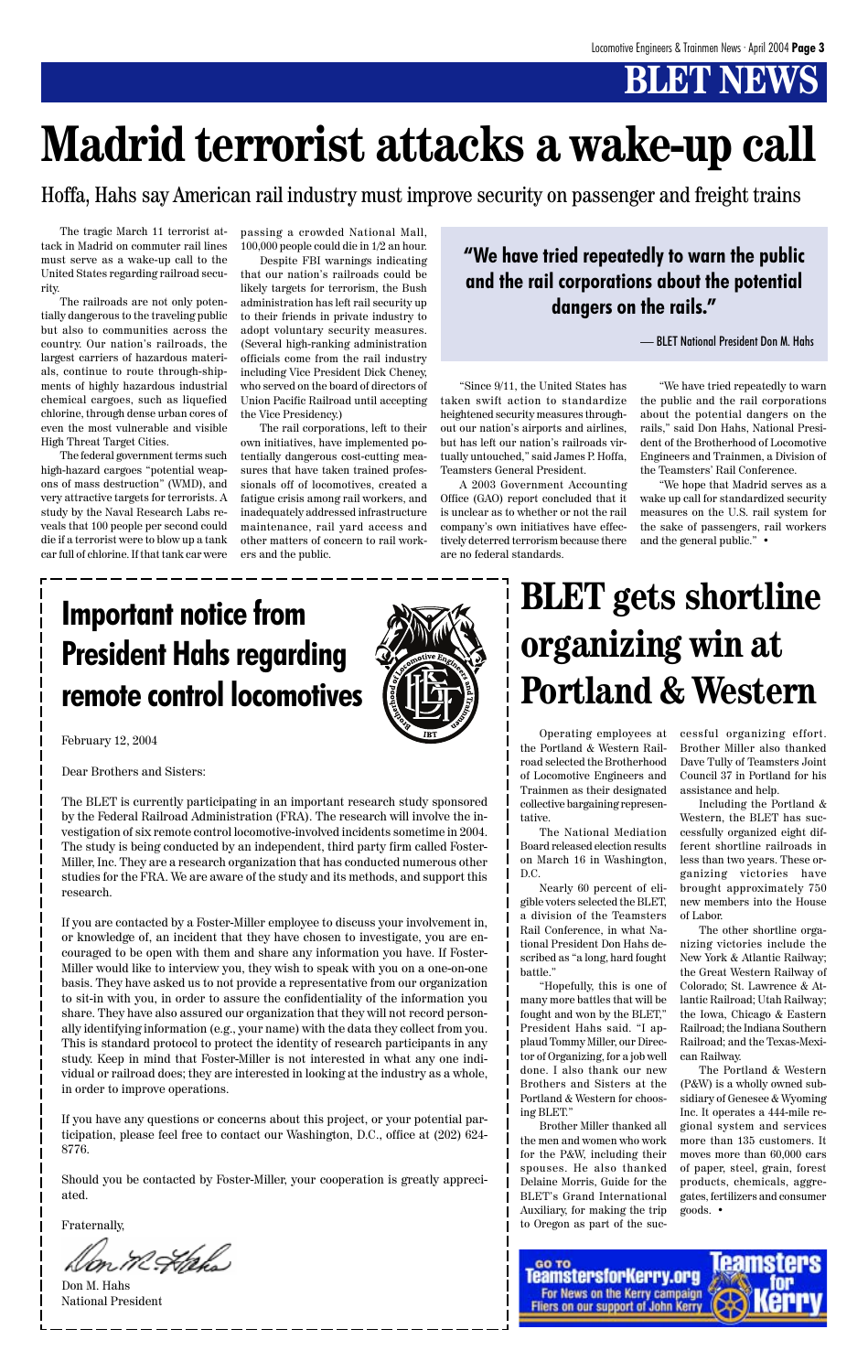The tragic March 11 terrorist attack in Madrid on commuter rail lines must serve as a wake-up call to the United States regarding railroad security.

The railroads are not only potentially dangerous to the traveling public but also to communities across the country. Our nation's railroads, the largest carriers of hazardous materials, continue to route through-shipments of highly hazardous industrial chemical cargoes, such as liquefied chlorine, through dense urban cores of even the most vulnerable and visible High Threat Target Cities.

The federal government terms such high-hazard cargoes "potential weapons of mass destruction" (WMD), and very attractive targets for terrorists. A study by the Naval Research Labs reveals that 100 people per second could die if a terrorist were to blow up a tank car full of chlorine. If that tank car were passing a crowded National Mall, 100,000 people could die in 1/2 an hour.

Despite FBI warnings indicating that our nation's railroads could be likely targets for terrorism, the Bush administration has left rail security up to their friends in private industry to adopt voluntary security measures. (Several high-ranking administration officials come from the rail industry including Vice President Dick Cheney, who served on the board of directors of Union Pacific Railroad until accepting the Vice Presidency.)

The rail corporations, left to their own initiatives, have implemented potentially dangerous cost-cutting measures that have taken trained professionals off of locomotives, created a fatigue crisis among rail workers, and inadequately addressed infrastructure maintenance, rail yard access and other matters of concern to rail workers and the public.

"Since 9/11, the United States has taken swift action to standardize heightened security measures throughout our nation's airports and airlines, but has left our nation's railroads virtually untouched," said James P. Hoffa, Teamsters General President.

A 2003 Government Accounting Office (GAO) report concluded that it is unclear as to whether or not the rail company's own initiatives have effectively deterred terrorism because there are no federal standards.

"We have tried repeatedly to warn the public and the rail corporations about the potential dangers on the rails," said Don Hahs, National President of the Brotherhood of Locomotive Engineers and Trainmen, a Division of the Teamsters' Rail Conference.

"We hope that Madrid serves as a wake up call for standardized security measures on the U.S. rail system for the sake of passengers, rail workers and the general public." •

# **Madrid terrorist attacks a wake-up call**

Hoffa, Hahs say American rail industry must improve security on passenger and freight trains

### **"We have tried repeatedly to warn the public and the rail corporations about the potential dangers on the rails."**

— BLET National President Don M. Hahs

## **Important notice from President Hahs regarding remote control locomotives**



February 12, 2004

Dear Brothers and Sisters:

The BLET is currently participating in an important research study sponsored by the Federal Railroad Administration (FRA). The research will involve the investigation of six remote control locomotive-involved incidents sometime in 2004. The study is being conducted by an independent, third party firm called Foster-Miller, Inc. They are a research organization that has conducted numerous other studies for the FRA. We are aware of the study and its methods, and support this research.

If you are contacted by a Foster-Miller employee to discuss your involvement in, or knowledge of, an incident that they have chosen to investigate, you are encouraged to be open with them and share any information you have. If Foster-Miller would like to interview you, they wish to speak with you on a one-on-one basis. They have asked us to not provide a representative from our organization to sit-in with you, in order to assure the confidentiality of the information you share. They have also assured our organization that they will not record personally identifying information (e.g., your name) with the data they collect from you. This is standard protocol to protect the identity of research participants in any study. Keep in mind that Foster-Miller is not interested in what any one individual or railroad does; they are interested in looking at the industry as a whole, in order to improve operations.

If you have any questions or concerns about this project, or your potential participation, please feel free to contact our Washington, D.C., office at (202) 624- 8776.

Should you be contacted by Foster-Miller, your cooperation is greatly appreciated.

Fraternally,

'Ank's

Don M. Hahs National President



# **BLET gets shortline organizing win at Portland & Western**

Operating employees at the Portland & Western Railroad selected the Brotherhood of Locomotive Engineers and Trainmen as their designated collective bargaining representative.

The National Mediation Board released election results on March 16 in Washington, D.C.

Nearly 60 percent of eligible voters selected the BLET, a division of the Teamsters Rail Conference, in what National President Don Hahs described as "a long, hard fought battle."

"Hopefully, this is one of many more battles that will be fought and won by the BLET," President Hahs said. "I applaud Tommy Miller, our Director of Organizing, for a job well done. I also thank our new Brothers and Sisters at the Portland & Western for choosing BLET." Brother Miller thanked all the men and women who work for the P&W, including their spouses. He also thanked Delaine Morris, Guide for the BLET's Grand International Auxiliary, for making the trip to Oregon as part of the successful organizing effort. Brother Miller also thanked Dave Tully of Teamsters Joint Council 37 in Portland for his assistance and help.

Including the Portland & Western, the BLET has successfully organized eight different shortline railroads in less than two years. These organizing victories have brought approximately 750 new members into the House of Labor.

The other shortline organizing victories include the New York & Atlantic Railway; the Great Western Railway of Colorado; St. Lawrence & Atlantic Railroad; Utah Railway; the Iowa, Chicago & Eastern Railroad; the Indiana Southern Railroad; and the Texas-Mexican Railway. The Portland & Western (P&W) is a wholly owned subsidiary of Genesee & Wyoming Inc. It operates a 444-mile regional system and services more than 135 customers. It moves more than 60,000 cars of paper, steel, grain, forest products, chemicals, aggregates, fertilizers and consumer goods. •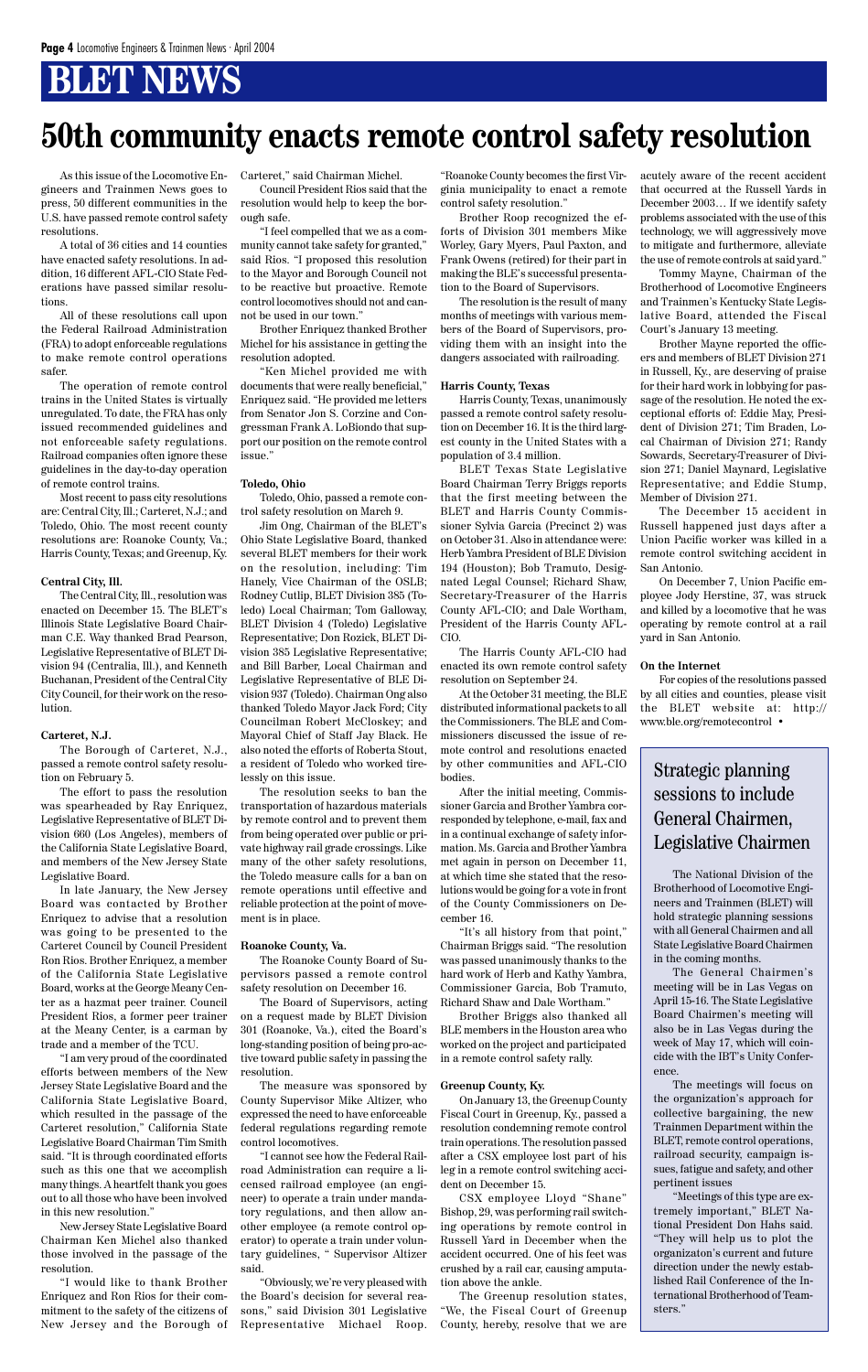As this issue of the Locomotive Engineers and Trainmen News goes to press, 50 different communities in the U.S. have passed remote control safety resolutions.

A total of 36 cities and 14 counties have enacted safety resolutions. In addition, 16 different AFL-CIO State Federations have passed similar resolutions.

All of these resolutions call upon the Federal Railroad Administration (FRA) to adopt enforceable regulations to make remote control operations safer.

The operation of remote control trains in the United States is virtually unregulated. To date, the FRA has only issued recommended guidelines and not enforceable safety regulations. Railroad companies often ignore these guidelines in the day-to-day operation of remote control trains.

Most recent to pass city resolutions are: Central City, Ill.; Carteret, N.J.; and Toledo, Ohio. The most recent county resolutions are: Roanoke County, Va.; Harris County, Texas; and Greenup, Ky.

#### **Central City, Ill.**

The Central City, Ill., resolution was enacted on December 15. The BLET's Illinois State Legislative Board Chairman C.E. Way thanked Brad Pearson, Legislative Representative of BLET Division 94 (Centralia, Ill.), and Kenneth Buchanan, President of the Central City City Council, for their work on the resolution.

#### **Carteret, N.J.**

The Borough of Carteret, N.J., passed a remote control safety resolution on February 5.

The effort to pass the resolution was spearheaded by Ray Enriquez, Legislative Representative of BLET Division 660 (Los Angeles), members of the California State Legislative Board, and members of the New Jersey State Legislative Board.

In late January, the New Jersey Board was contacted by Brother Enriquez to advise that a resolution was going to be presented to the Carteret Council by Council President Ron Rios. Brother Enriquez, a member of the California State Legislative Board, works at the George Meany Center as a hazmat peer trainer. Council

President Rios, a former peer trainer at the Meany Center, is a carman by trade and a member of the TCU.

"I am very proud of the coordinated efforts between members of the New Jersey State Legislative Board and the California State Legislative Board, which resulted in the passage of the Carteret resolution," California State Legislative Board Chairman Tim Smith said. "It is through coordinated efforts such as this one that we accomplish many things. A heartfelt thank you goes out to all those who have been involved in this new resolution."

New Jersey State Legislative Board Chairman Ken Michel also thanked those involved in the passage of the resolution.

"I would like to thank Brother Enriquez and Ron Rios for their commitment to the safety of the citizens of New Jersey and the Borough of Carteret," said Chairman Michel.

Council President Rios said that the resolution would help to keep the borough safe.

"I feel compelled that we as a community cannot take safety for granted," said Rios. "I proposed this resolution to the Mayor and Borough Council not to be reactive but proactive. Remote control locomotives should not and cannot be used in our town."

Brother Enriquez thanked Brother Michel for his assistance in getting the resolution adopted.

"Ken Michel provided me with documents that were really beneficial," Enriquez said. "He provided me letters from Senator Jon S. Corzine and Congressman Frank A. LoBiondo that support our position on the remote control issue."

#### **Toledo, Ohio**

Toledo, Ohio, passed a remote control safety resolution on March 9.

Jim Ong, Chairman of the BLET's Ohio State Legislative Board, thanked several BLET members for their work on the resolution, including: Tim Hanely, Vice Chairman of the OSLB; Rodney Cutlip, BLET Division 385 (Toledo) Local Chairman; Tom Galloway, BLET Division 4 (Toledo) Legislative Representative; Don Rozick, BLET Division 385 Legislative Representative; and Bill Barber, Local Chairman and Legislative Representative of BLE Division 937 (Toledo). Chairman Ong also thanked Toledo Mayor Jack Ford; City Councilman Robert McCloskey; and Mayoral Chief of Staff Jay Black. He also noted the efforts of Roberta Stout, a resident of Toledo who worked tirelessly on this issue.

The resolution seeks to ban the transportation of hazardous materials by remote control and to prevent them from being operated over public or private highway rail grade crossings. Like many of the other safety resolutions, the Toledo measure calls for a ban on remote operations until effective and reliable protection at the point of movement is in place.

#### **Roanoke County, Va.**

The Roanoke County Board of Supervisors passed a remote control safety resolution on December 16.

The Board of Supervisors, acting

on a request made by BLET Division 301 (Roanoke, Va.), cited the Board's long-standing position of being pro-active toward public safety in passing the resolution.

The measure was sponsored by County Supervisor Mike Altizer, who expressed the need to have enforceable federal regulations regarding remote control locomotives.

"I cannot see how the Federal Railroad Administration can require a licensed railroad employee (an engineer) to operate a train under mandatory regulations, and then allow another employee (a remote control operator) to operate a train under voluntary guidelines, " Supervisor Altizer said.

"Obviously, we're very pleased with the Board's decision for several reasons," said Division 301 Legislative Representative Michael Roop. "Roanoke County becomes the first Virginia municipality to enact a remote control safety resolution."

Brother Roop recognized the efforts of Division 301 members Mike Worley, Gary Myers, Paul Paxton, and Frank Owens (retired) for their part in making the BLE's successful presentation to the Board of Supervisors.

The resolution is the result of many months of meetings with various members of the Board of Supervisors, providing them with an insight into the dangers associated with railroading.

#### **Harris County, Texas**

Harris County, Texas, unanimously passed a remote control safety resolution on December 16. It is the third largest county in the United States with a population of 3.4 million.

BLET Texas State Legislative Board Chairman Terry Briggs reports that the first meeting between the BLET and Harris County Commissioner Sylvia Garcia (Precinct 2) was on October 31. Also in attendance were: Herb Yambra President of BLE Division 194 (Houston); Bob Tramuto, Designated Legal Counsel; Richard Shaw, Secretary-Treasurer of the Harris County AFL-CIO; and Dale Wortham, President of the Harris County AFL-CIO.

The Harris County AFL-CIO had enacted its own remote control safety resolution on September 24.

At the October 31 meeting, the BLE distributed informational packets to all the Commissioners. The BLE and Commissioners discussed the issue of remote control and resolutions enacted by other communities and AFL-CIO bodies.

After the initial meeting, Commissioner Garcia and Brother Yambra corresponded by telephone, e-mail, fax and in a continual exchange of safety information. Ms. Garcia and Brother Yambra met again in person on December 11, at which time she stated that the resolutions would be going for a vote in front of the County Commissioners on December 16.

"It's all history from that point," Chairman Briggs said. "The resolution was passed unanimously thanks to the hard work of Herb and Kathy Yambra, Commissioner Garcia, Bob Tramuto, Richard Shaw and Dale Wortham."

Brother Briggs also thanked all BLE members in the Houston area who worked on the project and participated in a remote control safety rally.

#### **Greenup County, Ky.**

On January 13, the Greenup County Fiscal Court in Greenup, Ky., passed a resolution condemning remote control train operations. The resolution passed after a CSX employee lost part of his leg in a remote control switching accident on December 15.

CSX employee Lloyd "Shane" Bishop, 29, was performing rail switching operations by remote control in Russell Yard in December when the accident occurred. One of his feet was crushed by a rail car, causing amputation above the ankle.

The Greenup resolution states, "We, the Fiscal Court of Greenup County, hereby, resolve that we are acutely aware of the recent accident that occurred at the Russell Yards in December 2003… If we identify safety problems associated with the use of this technology, we will aggressively move to mitigate and furthermore, alleviate the use of remote controls at said yard."

Tommy Mayne, Chairman of the Brotherhood of Locomotive Engineers and Trainmen's Kentucky State Legislative Board, attended the Fiscal Court's January 13 meeting.

Brother Mayne reported the officers and members of BLET Division 271 in Russell, Ky., are deserving of praise for their hard work in lobbying for passage of the resolution. He noted the exceptional efforts of: Eddie May, President of Division 271; Tim Braden, Local Chairman of Division 271; Randy Sowards, Secretary-Treasurer of Division 271; Daniel Maynard, Legislative Representative; and Eddie Stump, Member of Division 271.

The December 15 accident in Russell happened just days after a Union Pacific worker was killed in a remote control switching accident in San Antonio.

On December 7, Union Pacific employee Jody Herstine, 37, was struck and killed by a locomotive that he was operating by remote control at a rail yard in San Antonio.

#### **On the Internet**

For copies of the resolutions passed by all cities and counties, please visit the BLET website at: http:// www.ble.org/remotecontrol •

## **50th community enacts remote control safety resolution**

The National Division of the Brotherhood of Locomotive Engineers and Trainmen (BLET) will hold strategic planning sessions with all General Chairmen and all State Legislative Board Chairmen in the coming months.

The General Chairmen's meeting will be in Las Vegas on April 15-16. The State Legislative Board Chairmen's meeting will also be in Las Vegas during the week of May 17, which will coincide with the IBT's Unity Conference. The meetings will focus on the organization's approach for collective bargaining, the new Trainmen Department within the BLET, remote control operations, railroad security, campaign issues, fatigue and safety, and other pertinent issues "Meetings of this type are extremely important," BLET National President Don Hahs said. "They will help us to plot the organizaton's current and future direction under the newly established Rail Conference of the International Brotherhood of Teamsters."

#### Strategic planning sessions to include General Chairmen, Legislative Chairmen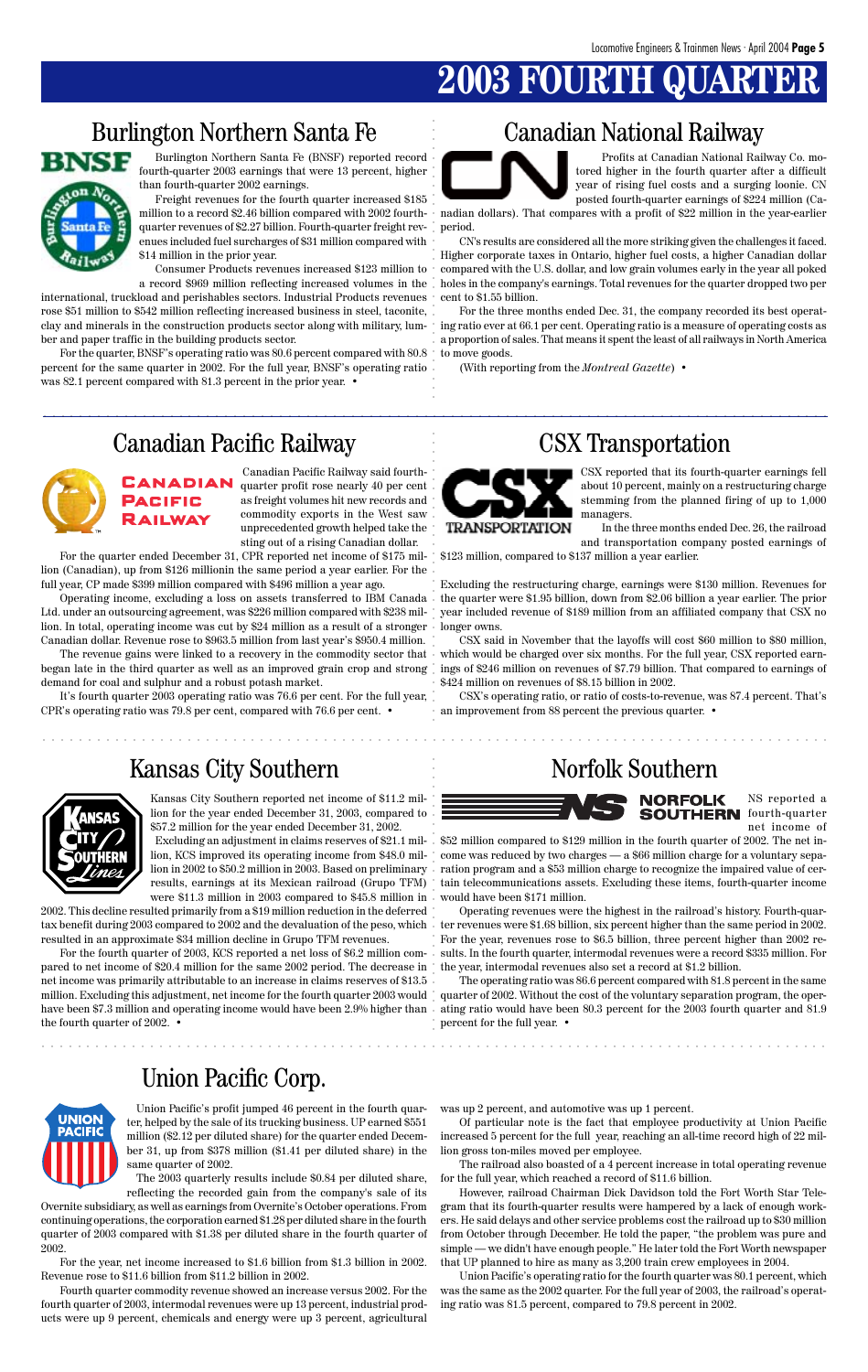## **2003 FOURTH**

### Burlington Northern Santa Fe Canadian National Railway



### Union Pacific Corp.

aaaaaaaaaaaaaaaaaaaaaaaaaaaaaaaaaaaaaaaaaaaaaaaaaaaaaaaaaaaaaaaaaaaaaaaaaaaaaaaaaaaaaaa

aaaaaaaaaaaaaaaaaaaaaaaaaaaaaaaaaaaaaaaaaaaaaaaaaaaaaaaaaaaaaaaaaaaaaaaaaaaaaaaaaaaaaaa

CSX reported that its fourth-quarter earnings fell about 10 percent, mainly on a restructuring charge stemming from the planned firing of up to 1,000 managers.

In the three months ended Dec. 26, the railroad and transportation company posted earnings of

\$123 million, compared to \$137 million a year earlier.

Excluding the restructuring charge, earnings were \$130 million. Revenues for the quarter were \$1.95 billion, down from \$2.06 billion a year earlier. The prior year included revenue of \$189 million from an affiliated company that CSX no longer owns.

CSX said in November that the layoffs will cost \$60 million to \$80 million, The revenue gains were linked to a recovery in the commodity sector that  $\,\cdot\,$  which would be charged over six months. For the full year, CSX reported earnings of \$246 million on revenues of \$7.79 billion. That compared to earnings of \$424 million on revenues of \$8.15 billion in 2002.

> CSX's operating ratio, or ratio of costs-to-revenue, was 87.4 percent. That's an improvement from 88 percent the previous quarter. •

### Kansas City Southern Norfolk Southern



clay and minerals in the construction products sector along with military, lum-  $\, \cdot \,$  ing ratio ever at 66.1 per cent. Operating ratio is a measure of operating costs as a record \$969 million reflecting increased volumes in the international, truckload and perishables sectors. Industrial Products revenues rose \$51 million to \$542 million reflecting increased business in steel, taconite, ber and paper traffic in the building products sector.

Profits at Canadian National Railway Co. motored higher in the fourth quarter after a difficult year of rising fuel costs and a surging loonie. CN posted fourth-quarter earnings of \$224 million (Ca-

nadian dollars). That compares with a profit of \$22 million in the year-earlier period.

CN's results are considered all the more striking given the challenges it faced. Higher corporate taxes in Ontario, higher fuel costs, a higher Canadian dollar compared with the U.S. dollar, and low grain volumes early in the year all poked holes in the company's earnings. Total revenues for the quarter dropped two per cent to \$1.55 billion.

For the three months ended Dec. 31, the company recorded its best operata proportion of sales. That means it spent the least of all railways in North America to move goods.

(With reporting from the *Montreal Gazette*) •

### Canadian Pacific Railway CSX Transportation



Burlington Northern Santa Fe (BNSF) reported record fourth-quarter 2003 earnings that were 13 percent, higher than fourth-quarter 2002 earnings.

Freight revenues for the fourth quarter increased \$185 million to a record \$2.46 billion compared with 2002 fourthquarter revenues of \$2.27 billion. Fourth-quarter freight revenues included fuel surcharges of \$31 million compared with \$14 million in the prior year.

Consumer Products revenues increased \$123 million to

lion in 2002 to \$50.2 million in 2003. Based on preliminary  $\,$  ration program and a \$53 million charge to recognize the impaired value of cer-\$52 million compared to \$129 million in the fourth quarter of 2002. The net income was reduced by two charges — a \$66 million charge for a voluntary sepatain telecommunications assets. Excluding these items, fourth-quarter income would have been \$171 million.

aaaaaaaaaaaaaaaaaaaaaaaaaaaaaaaaaaaaaaaaaaaaaaaaaaaaaaaaaaaaaaaaaaaaaaaaaaaaaaaaaaaaaaa aaaaaaaaaaaaaaaaaaaaaaaaaaaaaaa aaaaaaaaaaaaaa aaaaaaaaaaaaaaaa aaaaaaaaaaa aaaaaaaaaaaaaaaaaaaaa For the fourth quarter of 2003, KCS reported a net loss of \$6.2 million compared to net income of \$20.4 million for the same 2002 period. The decrease in net income was primarily attributable to an increase in claims reserves of \$13.5 million. Excluding this adjustment, net income for the fourth quarter 2003 would the fourth quarter of 2002. •



have been \$7.3 million and operating income would have been 2.9% higher than ating ratio would have been 80.3 percent for the 2003 fourth quarter and 81.9 The operating ratio was 86.6 percent compared with 81.8 percent in the same quarter of 2002. Without the cost of the voluntary separation program, the operpercent for the full year. •

> Union Pacific's profit jumped 46 percent in the fourth quarter, helped by the sale of its trucking business. UP earned \$551 million (\$2.12 per diluted share) for the quarter ended December 31, up from \$378 million (\$1.41 per diluted share) in the same quarter of 2002.

For the quarter, BNSF's operating ratio was 80.6 percent compared with 80.8 percent for the same quarter in 2002. For the full year, BNSF's operating ratio was 82.1 percent compared with 81.3 percent in the prior year. •

Canadian Pacific Railway said fourthquarter profit rose nearly 40 per cent as freight volumes hit new records and commodity exports in the West saw unprecedented growth helped take the sting out of a rising Canadian dollar.

For the quarter ended December 31, CPR reported net income of \$175 million (Canadian), up from \$126 millionin the same period a year earlier. For the full year, CP made \$399 million compared with \$496 million a year ago.

Operating income, excluding a loss on assets transferred to IBM Canada Ltd. under an outsourcing agreement, was \$226 million compared with \$238 million. In total, operating income was cut by \$24 million as a result of a stronger Canadian dollar. Revenue rose to \$963.5 million from last year's \$950.4 million.

began late in the third quarter as well as an improved grain crop and strong demand for coal and sulphur and a robust potash market.

It's fourth quarter 2003 operating ratio was 76.6 per cent. For the full year, CPR's operating ratio was 79.8 per cent, compared with 76.6 per cent. •



Kansas City Southern reported net income of \$11.2 million for the year ended December 31, 2003, compared to \$57.2 million for the year ended December 31, 2002.

Excluding an adjustment in claims reserves of \$21.1 million, KCS improved its operating income from \$48.0 milresults, earnings at its Mexican railroad (Grupo TFM) were \$11.3 million in 2003 compared to \$45.8 million in

2002. This decline resulted primarily from a \$19 million reduction in the deferred tax benefit during 2003 compared to 2002 and the devaluation of the peso, which  $\,$  ter revenues were \$1.68 billion, six percent higher than the same period in 2002. resulted in an approximate \$34 million decline in Grupo TFM revenues.

NS reported a **SOUTHERN** fourth-quarter net income of

Operating revenues were the highest in the railroad's history. Fourth-quar-For the year, revenues rose to \$6.5 billion, three percent higher than 2002 results. In the fourth quarter, intermodal revenues were a record \$335 million. For the year, intermodal revenues also set a record at \$1.2 billion.

The 2003 quarterly results include \$0.84 per diluted share, reflecting the recorded gain from the company's sale of its

Overnite subsidiary, as well as earnings from Overnite's October operations. From continuing operations, the corporation earned \$1.28 per diluted share in the fourth quarter of 2003 compared with \$1.38 per diluted share in the fourth quarter of 2002.

For the year, net income increased to \$1.6 billion from \$1.3 billion in 2002. Revenue rose to \$11.6 billion from \$11.2 billion in 2002.

Fourth quarter commodity revenue showed an increase versus 2002. For the fourth quarter of 2003, intermodal revenues were up 13 percent, industrial products were up 9 percent, chemicals and energy were up 3 percent, agricultural

was up 2 percent, and automotive was up 1 percent.

Of particular note is the fact that employee productivity at Union Pacific increased 5 percent for the full year, reaching an all-time record high of 22 million gross ton-miles moved per employee.

The railroad also boasted of a 4 percent increase in total operating revenue for the full year, which reached a record of \$11.6 billion.

However, railroad Chairman Dick Davidson told the Fort Worth Star Telegram that its fourth-quarter results were hampered by a lack of enough workers. He said delays and other service problems cost the railroad up to \$30 million from October through December. He told the paper, "the problem was pure and simple — we didn't have enough people." He later told the Fort Worth newspaper that UP planned to hire as many as 3,200 train crew employees in 2004.

Union Pacific's operating ratio for the fourth quarter was 80.1 percent, which was the same as the 2002 quarter. For the full year of 2003, the railroad's operating ratio was 81.5 percent, compared to 79.8 percent in 2002.

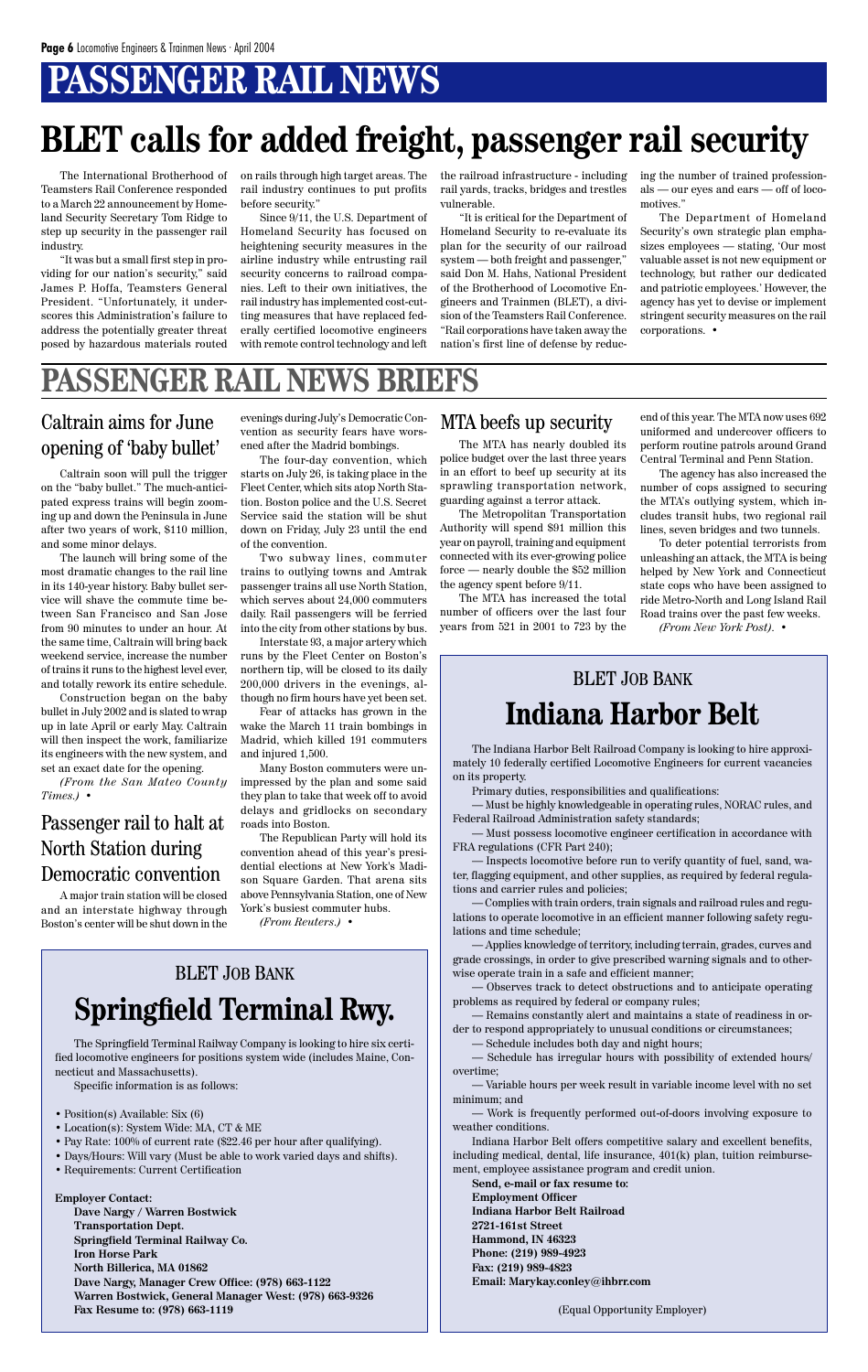# **PASSENGER RAIL NEWS**

# **BLET calls for added freight, passenger rail security**

The Springfield Terminal Railway Company is looking to hire six certified locomotive engineers for positions system wide (includes Maine, Connecticut and Massachusetts).

- Position(s) Available: Six (6)
- Location(s): System Wide: MA, CT & ME
- Pay Rate: 100% of current rate (\$22.46 per hour after qualifying).
- Days/Hours: Will vary (Must be able to work varied days and shifts).
- Requirements: Current Certification

Specific information is as follows:

**Employer Contact: Dave Nargy / Warren Bostwick Transportation Dept. Springfield Terminal Railway Co. Iron Horse Park North Billerica, MA 01862 Dave Nargy, Manager Crew Office: (978) 663-1122 Warren Bostwick, General Manager West: (978) 663-9326 Fax Resume to: (978) 663-1119**

The International Brotherhood of Teamsters Rail Conference responded to a March 22 announcement by Homeland Security Secretary Tom Ridge to step up security in the passenger rail industry.

"It was but a small first step in providing for our nation's security," said James P. Hoffa, Teamsters General President. "Unfortunately, it underscores this Administration's failure to address the potentially greater threat posed by hazardous materials routed on rails through high target areas. The rail industry continues to put profits before security."

Since 9/11, the U.S. Department of Homeland Security has focused on heightening security measures in the airline industry while entrusting rail security concerns to railroad companies. Left to their own initiatives, the rail industry has implemented cost-cutting measures that have replaced federally certified locomotive engineers with remote control technology and left the railroad infrastructure - including rail yards, tracks, bridges and trestles vulnerable.

"It is critical for the Department of Homeland Security to re-evaluate its plan for the security of our railroad system — both freight and passenger," said Don M. Hahs, National President of the Brotherhood of Locomotive Engineers and Trainmen (BLET), a division of the Teamsters Rail Conference. "Rail corporations have taken away the nation's first line of defense by reducing the number of trained professionals — our eyes and ears — off of locomotives."

The Department of Homeland Security's own strategic plan emphasizes employees — stating, 'Our most valuable asset is not new equipment or technology, but rather our dedicated and patriotic employees.' However, the agency has yet to devise or implement stringent security measures on the rail corporations. •

### BLET JOB BANK **Springfield Terminal Rwy.**

MTA beefs up security end of this year. The MTA now uses 692 uniformed and undercover officers to perform routine patrols around Grand Central Terminal and Penn Station.

The Indiana Harbor Belt Railroad Company is looking to hire approximately 10 federally certified Locomotive Engineers for current vacancies on its property.

Primary duties, responsibilities and qualifications:

— Must be highly knowledgeable in operating rules, NORAC rules, and Federal Railroad Administration safety standards;

— Must possess locomotive engineer certification in accordance with FRA regulations (CFR Part 240);

— Inspects locomotive before run to verify quantity of fuel, sand, water, flagging equipment, and other supplies, as required by federal regulations and carrier rules and policies;

— Complies with train orders, train signals and railroad rules and regulations to operate locomotive in an efficient manner following safety regulations and time schedule;

— Applies knowledge of territory, including terrain, grades, curves and grade crossings, in order to give prescribed warning signals and to otherwise operate train in a safe and efficient manner;

— Observes track to detect obstructions and to anticipate operating problems as required by federal or company rules; — Remains constantly alert and maintains a state of readiness in order to respond appropriately to unusual conditions or circumstances;

— Schedule includes both day and night hours;

— Schedule has irregular hours with possibility of extended hours/ overtime;

— Variable hours per week result in variable income level with no set minimum; and

— Work is frequently performed out-of-doors involving exposure to weather conditions.

Indiana Harbor Belt offers competitive salary and excellent benefits, including medical, dental, life insurance, 401(k) plan, tuition reimbursement, employee assistance program and credit union.

**Send, e-mail or fax resume to: Employment Officer Indiana Harbor Belt Railroad 2721-161st Street Hammond, IN 46323 Phone: (219) 989-4923 Fax: (219) 989-4823 Email: Marykay.conley@ihbrr.com**

(Equal Opportunity Employer)

### BLET JOB BANK **Indiana Harbor Belt**

The MTA has nearly doubled its police budget over the last three years in an effort to beef up security at its sprawling transportation network, guarding against a terror attack.

The Metropolitan Transportation Authority will spend \$91 million this year on payroll, training and equipment connected with its ever-growing police force — nearly double the \$52 million the agency spent before 9/11.

The MTA has increased the total number of officers over the last four years from 521 in 2001 to 723 by the

### Caltrain aims for June opening of 'baby bullet'

The agency has also increased the number of cops assigned to securing the MTA's outlying system, which includes transit hubs, two regional rail lines, seven bridges and two tunnels.

To deter potential terrorists from unleashing an attack, the MTA is being helped by New York and Connecticut state cops who have been assigned to ride Metro-North and Long Island Rail Road trains over the past few weeks.

*(From New York Post).* •

Caltrain soon will pull the trigger on the "baby bullet." The much-anticipated express trains will begin zooming up and down the Peninsula in June after two years of work, \$110 million, and some minor delays.

The launch will bring some of the most dramatic changes to the rail line in its 140-year history. Baby bullet service will shave the commute time between San Francisco and San Jose from 90 minutes to under an hour. At the same time, Caltrain will bring back weekend service, increase the number of trains it runs to the highest level ever, and totally rework its entire schedule.

Construction began on the baby bullet in July 2002 and is slated to wrap up in late April or early May. Caltrain will then inspect the work, familiarize its engineers with the new system, and set an exact date for the opening.

*(From the San Mateo County Times.)* •

### Passenger rail to halt at North Station during Democratic convention

A major train station will be closed and an interstate highway through Boston's center will be shut down in the evenings during July's Democratic Convention as security fears have worsened after the Madrid bombings.

The four-day convention, which starts on July 26, is taking place in the Fleet Center, which sits atop North Station. Boston police and the U.S. Secret Service said the station will be shut down on Friday, July 23 until the end of the convention.

Two subway lines, commuter trains to outlying towns and Amtrak passenger trains all use North Station, which serves about 24,000 commuters daily. Rail passengers will be ferried into the city from other stations by bus.

Interstate 93, a major artery which runs by the Fleet Center on Boston's northern tip, will be closed to its daily 200,000 drivers in the evenings, although no firm hours have yet been set.

Fear of attacks has grown in the wake the March 11 train bombings in Madrid, which killed 191 commuters and injured 1,500.

Many Boston commuters were unimpressed by the plan and some said they plan to take that week off to avoid delays and gridlocks on secondary roads into Boston.

The Republican Party will hold its convention ahead of this year's presidential elections at New York's Madison Square Garden. That arena sits above Pennsylvania Station, one of New York's busiest commuter hubs.

*(From Reuters.)* •

### **PASSENGER RAIL NEWS BRIEFS**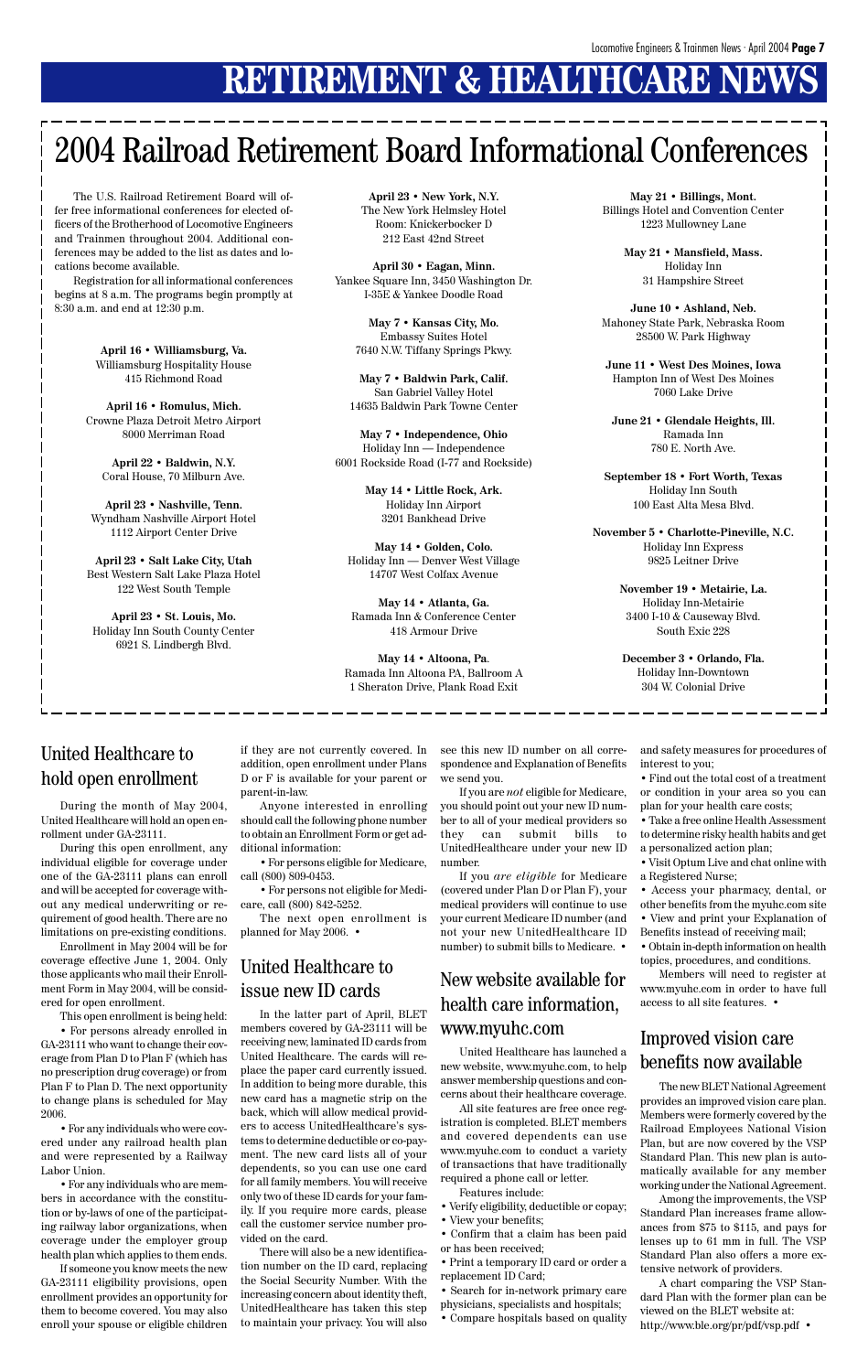## **RETIREMENT & HEALTHCARE NEW**

# 2004 Railroad Retirement Board Informational Conferences

The U.S. Railroad Retirement Board will offer free informational conferences for elected officers of the Brotherhood of Locomotive Engineers and Trainmen throughout 2004. Additional conferences may be added to the list as dates and locations become available.

Registration for all informational conferences begins at 8 a.m. The programs begin promptly at 8:30 a.m. and end at 12:30 p.m.

> **April 16 • Williamsburg, Va.** Williamsburg Hospitality House 415 Richmond Road

**April 16 • Romulus, Mich.** Crowne Plaza Detroit Metro Airport 8000 Merriman Road

**April 22 • Baldwin, N.Y.** Coral House, 70 Milburn Ave.

**April 23 • Nashville, Tenn.** Wyndham Nashville Airport Hotel 1112 Airport Center Drive

**April 23 • Salt Lake City, Utah** Best Western Salt Lake Plaza Hotel 122 West South Temple

**April 23 • St. Louis, Mo.** Holiday Inn South County Center 6921 S. Lindbergh Blvd.

**April 23 • New York, N.Y.** The New York Helmsley Hotel Room: Knickerbocker D 212 East 42nd Street

**April 30 • Eagan, Minn.** Yankee Square Inn, 3450 Washington Dr. I-35E & Yankee Doodle Road

> **May 7 • Kansas City, Mo.** Embassy Suites Hotel 7640 N.W. Tiffany Springs Pkwy.

**May 7 • Baldwin Park, Calif.** San Gabriel Valley Hotel 14635 Baldwin Park Towne Center

**May 7 • Independence, Ohio** Holiday Inn — Independence 6001 Rockside Road (I-77 and Rockside)

> **May 14 • Little Rock, Ark.** Holiday Inn Airport 3201 Bankhead Drive

**May 14 • Golden, Colo.** Holiday Inn — Denver West Village 14707 West Colfax Avenue

**May 14 • Atlanta, Ga.** Ramada Inn & Conference Center 418 Armour Drive

**May 14 • Altoona, Pa**. Ramada Inn Altoona PA, Ballroom A 1 Sheraton Drive, Plank Road Exit

**May 21 • Billings, Mont.** Billings Hotel and Convention Center 1223 Mullowney Lane

> **May 21 • Mansfield, Mass.** Holiday Inn 31 Hampshire Street

**June 10 • Ashland, Neb.** Mahoney State Park, Nebraska Room 28500 W. Park Highway

**June 11 • West Des Moines, Iowa** Hampton Inn of West Des Moines 7060 Lake Drive

**June 21 • Glendale Heights, Ill.** Ramada Inn 780 E. North Ave.

**September 18 • Fort Worth, Texas** Holiday Inn South 100 East Alta Mesa Blvd.

**November 5 • Charlotte-Pineville, N.C.** Holiday Inn Express 9825 Leitner Drive

> **November 19 • Metairie, La.** Holiday Inn-Metairie 3400 I-10 & Causeway Blvd. South Exic 228

**December 3 • Orlando, Fla.** Holiday Inn-Downtown 304 W. Colonial Drive

During the month of May 2004, United Healthcare will hold an open enrollment under GA-23111.

During this open enrollment, any individual eligible for coverage under one of the GA-23111 plans can enroll and will be accepted for coverage without any medical underwriting or requirement of good health. There are no limitations on pre-existing conditions.

Enrollment in May 2004 will be for coverage effective June 1, 2004. Only those applicants who mail their Enrollment Form in May 2004, will be considered for open enrollment.

This open enrollment is being held:

• For persons already enrolled in GA-23111 who want to change their coverage from Plan D to Plan F (which has no prescription drug coverage) or from Plan F to Plan D. The next opportunity to change plans is scheduled for May 2006.

• For any individuals who were covered under any railroad health plan and were represented by a Railway Labor Union.

• For any individuals who are members in accordance with the constitution or by-laws of one of the participating railway labor organizations, when coverage under the employer group health plan which applies to them ends.

If someone you know meets the new GA-23111 eligibility provisions, open enrollment provides an opportunity for them to become covered. You may also enroll your spouse or eligible children

if they are not currently covered. In addition, open enrollment under Plans D or F is available for your parent or parent-in-law.

Anyone interested in enrolling should call the following phone number to obtain an Enrollment Form or get additional information:

• For persons eligible for Medicare, call (800) 809-0453.

• For persons not eligible for Medicare, call (800) 842-5252.

The next open enrollment is planned for May 2006. •

In the latter part of April, BLET members covered by GA-23111 will be receiving new, laminated ID cards from United Healthcare. The cards will replace the paper card currently issued. In addition to being more durable, this new card has a magnetic strip on the back, which will allow medical providers to access UnitedHealthcare's systems to determine deductible or co-payment. The new card lists all of your dependents, so you can use one card for all family members. You will receive only two of these ID cards for your family. If you require more cards, please call the customer service number provided on the card.

There will also be a new identification number on the ID card, replacing the Social Security Number. With the increasing concern about identity theft, UnitedHealthcare has taken this step to maintain your privacy. You will also

### United Healthcare to hold open enrollment

### United Healthcare to issue new ID cards

see this new ID number on all correspondence and Explanation of Benefits we send you.

If you are *not* eligible for Medicare, you should point out your new ID number to all of your medical providers so they can submit bills to UnitedHealthcare under your new ID number.

If you *are eligible* for Medicare (covered under Plan D or Plan F), your medical providers will continue to use your current Medicare ID number (and not your new UnitedHealthcare ID number) to submit bills to Medicare. •

and safety measures for procedures of interest to you;

• Find out the total cost of a treatment or condition in your area so you can plan for your health care costs;

• Take a free online Health Assessment to determine risky health habits and get a personalized action plan;

• Visit Optum Live and chat online with a Registered Nurse;

• Access your pharmacy, dental, or other benefits from the myuhc.com site

• View and print your Explanation of Benefits instead of receiving mail; • Obtain in-depth information on health

topics, procedures, and conditions.

Members will need to register at www.myuhc.com in order to have full access to all site features. •

United Healthcare has launched a new website, www.myuhc.com, to help answer membership questions and concerns about their healthcare coverage.

All site features are free once registration is completed. BLET members and covered dependents can use www.myuhc.com to conduct a variety of transactions that have traditionally required a phone call or letter.

Features include:

- Verify eligibility, deductible or copay;
- View your benefits;

• Confirm that a claim has been paid or has been received;

• Print a temporary ID card or order a replacement ID Card;

• Search for in-network primary care physicians, specialists and hospitals; • Compare hospitals based on quality

New website available for health care information, www.myuhc.com

> The new BLET National Agreement provides an improved vision care plan. Members were formerly covered by the Railroad Employees National Vision Plan, but are now covered by the VSP Standard Plan. This new plan is automatically available for any member working under the National Agreement.

> Among the improvements, the VSP Standard Plan increases frame allowances from \$75 to \$115, and pays for lenses up to 61 mm in full. The VSP Standard Plan also offers a more extensive network of providers.

A chart comparing the VSP Standard Plan with the former plan can be viewed on the BLET website at: http://www.ble.org/pr/pdf/vsp.pdf •

#### Improved vision care benefits now available